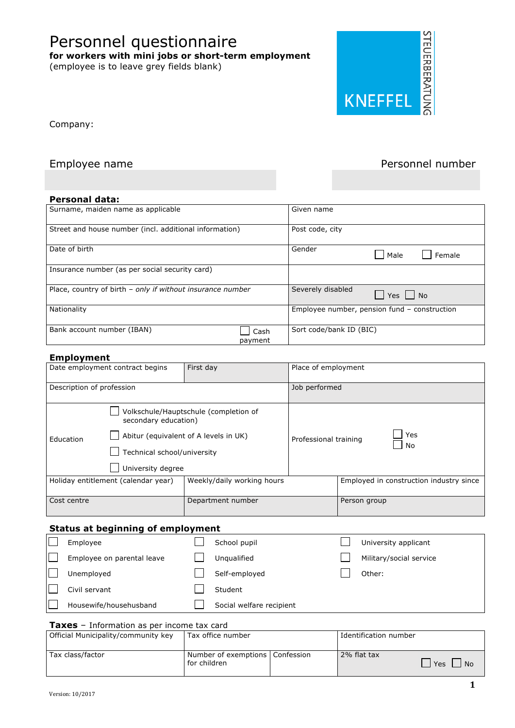**for workers with mini jobs or short-term employment**  (employee is to leave grey fields blank)

Personnel questionnaire



Company:

### Employee name **Personnel number** Personnel number

### **Personal data:**

| Surname, maiden name as applicable                         | Given name                                   |
|------------------------------------------------------------|----------------------------------------------|
| Street and house number (incl. additional information)     | Post code, city                              |
| Date of birth                                              | Gender<br>Male<br>Female                     |
| Insurance number (as per social security card)             |                                              |
| Place, country of birth - only if without insurance number | Severely disabled<br>$\Box$ Yes $\Box$ No    |
| Nationality                                                | Employee number, pension fund - construction |
| Bank account number (IBAN)                                 | Sort code/bank ID (BIC)<br>Cash<br>payment   |

### **Employment**

| -p.v,                               |                                                                          |                                                                                |                       |                                         |  |
|-------------------------------------|--------------------------------------------------------------------------|--------------------------------------------------------------------------------|-----------------------|-----------------------------------------|--|
| Date employment contract begins     |                                                                          | First day                                                                      | Place of employment   |                                         |  |
| Description of profession           |                                                                          |                                                                                | Job performed         |                                         |  |
| Education                           | secondary education)<br>Technical school/university<br>University degree | Volkschule/Hauptschule (completion of<br>Abitur (equivalent of A levels in UK) | Professional training | Yes<br>No                               |  |
| Holiday entitlement (calendar year) |                                                                          | Weekly/daily working hours                                                     |                       | Employed in construction industry since |  |
| Cost centre                         |                                                                          | Department number                                                              |                       | Person group                            |  |

### **Status at beginning of employment**

| Employee                   | School pupil             | University applicant    |
|----------------------------|--------------------------|-------------------------|
| Employee on parental leave | Unqualified              | Military/social service |
| Unemployed                 | Self-employed            | Other:                  |
| Civil servant              | Student                  |                         |
| Housewife/househusband     | Social welfare recipient |                         |

### **Taxes** – Information as per income tax card

| Official Municipality/community key | Tax office number                                 | Identification number |                    |
|-------------------------------------|---------------------------------------------------|-----------------------|--------------------|
| Tax class/factor                    | Number of exemptions   Confession<br>for children | 2% flat tax           | l Yes<br><b>No</b> |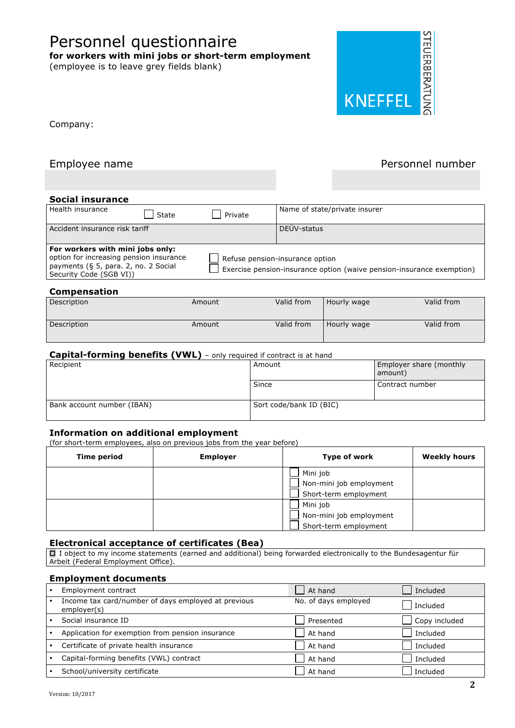Version: 10/2017

## Personnel questionnaire

**for workers with mini jobs or short-term employment** 

(employee is to leave grey fields blank)

### **Social insurance** Health insurance State Private Name of state/private insurer Accident insurance risk tariff DEÜV-status **For workers with mini jobs only:**  option for increasing pension insurance payments (§ 5, para. 2, no. 2 Social Security Code (SGB VI)) Refuse pension-insurance option Exercise pension-insurance option (waive pension-insurance exemption) **Compensation**

Company:

| Description | Amount | Valid from | Hourly wage | Valid from |
|-------------|--------|------------|-------------|------------|
| Description | Amount | Valid from | Hourly wage | Valid from |

### **Capital-forming benefits (VWL)** – only required if contract is at hand

| Recipient                  | Amount                  | <b>Employer share (monthly</b><br>amount) |
|----------------------------|-------------------------|-------------------------------------------|
|                            | Since                   | Contract number                           |
| Bank account number (IBAN) | Sort code/bank ID (BIC) |                                           |

### **Information on additional employment**

(for short-term employees, also on previous jobs from the year before)

| <b>Time period</b> | <b>Employer</b> | Type of work            | <b>Weekly hours</b> |
|--------------------|-----------------|-------------------------|---------------------|
|                    |                 | Mini job                |                     |
|                    |                 | Non-mini job employment |                     |
|                    |                 | Short-term employment   |                     |
|                    |                 | Mini job                |                     |
|                    |                 | Non-mini job employment |                     |
|                    |                 | Short-term employment   |                     |

### **Electronical acceptance of certificates (Bea)**

 $\Box$  I object to my income statements (earned and additional) being forwarded electronically to the Bundesagentur für Arbeit (Federal Employment Office).

### **Employment documents**

| Employment contract                                                | l At hand            | Included      |
|--------------------------------------------------------------------|----------------------|---------------|
| Income tax card/number of days employed at previous<br>employer(s) | No. of days employed | Included      |
| Social insurance ID                                                | Presented            | Copy included |
| Application for exemption from pension insurance                   | At hand              | Included      |
| Certificate of private health insurance                            | At hand              | Included      |
| Capital-forming benefits (VWL) contract                            | At hand              | Included      |
| School/university certificate                                      | At hand              | Included      |



Employee name **Personnel number** Personnel number